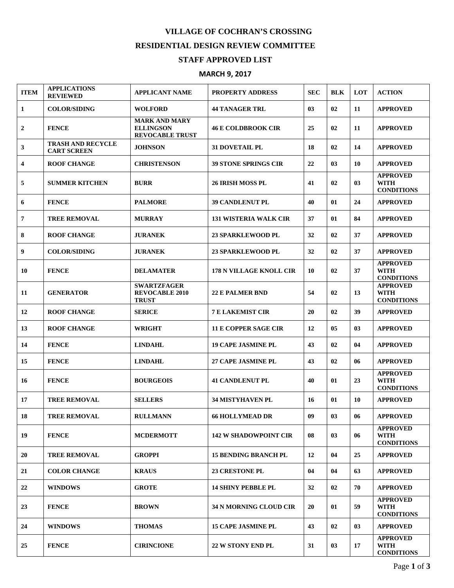## **VILLAGE OF COCHRAN'S CROSSING RESIDENTIAL DESIGN REVIEW COMMITTEE**

## **STAFF APPROVED LIST**

## **MARCH 9, 2017**

| <b>ITEM</b>             | <b>APPLICATIONS</b><br><b>REVIEWED</b>         | <b>APPLICANT NAME</b>                                              | <b>PROPERTY ADDRESS</b>        | <b>SEC</b> | <b>BLK</b> | <b>LOT</b> | <b>ACTION</b>                                       |
|-------------------------|------------------------------------------------|--------------------------------------------------------------------|--------------------------------|------------|------------|------------|-----------------------------------------------------|
| $\mathbf{1}$            | <b>COLOR/SIDING</b>                            | <b>WOLFORD</b>                                                     | <b>44 TANAGER TRL</b>          | 03         | 02         | 11         | <b>APPROVED</b>                                     |
| $\boldsymbol{2}$        | <b>FENCE</b>                                   | <b>MARK AND MARY</b><br><b>ELLINGSON</b><br><b>REVOCABLE TRUST</b> | <b>46 E COLDBROOK CIR</b>      | 25         | 02         | 11         | <b>APPROVED</b>                                     |
| 3                       | <b>TRASH AND RECYCLE</b><br><b>CART SCREEN</b> | <b>JOHNSON</b>                                                     | <b>31 DOVETAIL PL</b>          | 18         | 02         | 14         | <b>APPROVED</b>                                     |
| $\overline{\mathbf{4}}$ | <b>ROOF CHANGE</b>                             | <b>CHRISTENSON</b>                                                 | <b>39 STONE SPRINGS CIR</b>    | 22         | 03         | 10         | <b>APPROVED</b>                                     |
| 5                       | <b>SUMMER KITCHEN</b>                          | <b>BURR</b>                                                        | <b>26 IRISH MOSS PL</b>        | 41         | 02         | 03         | <b>APPROVED</b><br><b>WITH</b><br><b>CONDITIONS</b> |
| 6                       | <b>FENCE</b>                                   | <b>PALMORE</b>                                                     | <b>39 CANDLENUT PL</b>         | 40         | 01         | 24         | <b>APPROVED</b>                                     |
| $\overline{7}$          | <b>TREE REMOVAL</b>                            | <b>MURRAY</b>                                                      | <b>131 WISTERIA WALK CIR</b>   | 37         | 01         | 84         | <b>APPROVED</b>                                     |
| 8                       | <b>ROOF CHANGE</b>                             | <b>JURANEK</b>                                                     | <b>23 SPARKLEWOOD PL</b>       | 32         | 02         | 37         | <b>APPROVED</b>                                     |
| 9                       | <b>COLOR/SIDING</b>                            | <b>JURANEK</b>                                                     | <b>23 SPARKLEWOOD PL</b>       | 32         | 02         | 37         | <b>APPROVED</b>                                     |
| 10                      | <b>FENCE</b>                                   | <b>DELAMATER</b>                                                   | <b>178 N VILLAGE KNOLL CIR</b> | 10         | 02         | 37         | <b>APPROVED</b><br><b>WITH</b><br><b>CONDITIONS</b> |
| 11                      | <b>GENERATOR</b>                               | <b>SWARTZFAGER</b><br><b>REVOCABLE 2010</b><br><b>TRUST</b>        | <b>22 E PALMER BND</b>         | 54         | 02         | 13         | <b>APPROVED</b><br><b>WITH</b><br><b>CONDITIONS</b> |
| 12                      | <b>ROOF CHANGE</b>                             | <b>SERICE</b>                                                      | <b>7 E LAKEMIST CIR</b>        | 20         | 02         | 39         | <b>APPROVED</b>                                     |
| 13                      | <b>ROOF CHANGE</b>                             | <b>WRIGHT</b>                                                      | <b>11 E COPPER SAGE CIR</b>    | 12         | 05         | 03         | <b>APPROVED</b>                                     |
| 14                      | <b>FENCE</b>                                   | <b>LINDAHL</b>                                                     | <b>19 CAPE JASMINE PL</b>      | 43         | 02         | 04         | <b>APPROVED</b>                                     |
| 15                      | <b>FENCE</b>                                   | <b>LINDAHL</b>                                                     | <b>27 CAPE JASMINE PL</b>      | 43         | 02         | 06         | <b>APPROVED</b>                                     |
| 16                      | <b>FENCE</b>                                   | <b>BOURGEOIS</b>                                                   | <b>41 CANDLENUT PL</b>         | 40         | 01         | 23         | <b>APPROVED</b><br><b>WITH</b><br><b>CONDITIONS</b> |
| 17                      | <b>TREE REMOVAL</b>                            | <b>SELLERS</b>                                                     | <b>34 MISTYHAVEN PL</b>        | 16         | 01         | 10         | <b>APPROVED</b>                                     |
| 18                      | <b>TREE REMOVAL</b>                            | <b>RULLMANN</b>                                                    | <b>66 HOLLYMEAD DR</b>         | 09         | 03         | 06         | <b>APPROVED</b>                                     |
| 19                      | <b>FENCE</b>                                   | <b>MCDERMOTT</b>                                                   | <b>142 W SHADOWPOINT CIR</b>   | 08         | 03         | 06         | <b>APPROVED</b><br><b>WITH</b><br><b>CONDITIONS</b> |
| 20                      | <b>TREE REMOVAL</b>                            | <b>GROPPI</b>                                                      | <b>15 BENDING BRANCH PL</b>    | 12         | 04         | 25         | <b>APPROVED</b>                                     |
| 21                      | <b>COLOR CHANGE</b>                            | <b>KRAUS</b>                                                       | <b>23 CRESTONE PL</b>          | 04         | 04         | 63         | <b>APPROVED</b>                                     |
| 22                      | <b>WINDOWS</b>                                 | <b>GROTE</b>                                                       | <b>14 SHINY PEBBLE PL</b>      | 32         | 02         | 70         | <b>APPROVED</b>                                     |
| 23                      | <b>FENCE</b>                                   | <b>BROWN</b>                                                       | 34 N MORNING CLOUD CIR         | 20         | 01         | 59         | <b>APPROVED</b><br>WITH<br><b>CONDITIONS</b>        |
| 24                      | <b>WINDOWS</b>                                 | <b>THOMAS</b>                                                      | <b>15 CAPE JASMINE PL</b>      | 43         | 02         | 03         | <b>APPROVED</b>                                     |
| 25                      | <b>FENCE</b>                                   | <b>CIRINCIONE</b>                                                  | <b>22 W STONY END PL</b>       | 31         | 03         | 17         | <b>APPROVED</b><br><b>WITH</b><br><b>CONDITIONS</b> |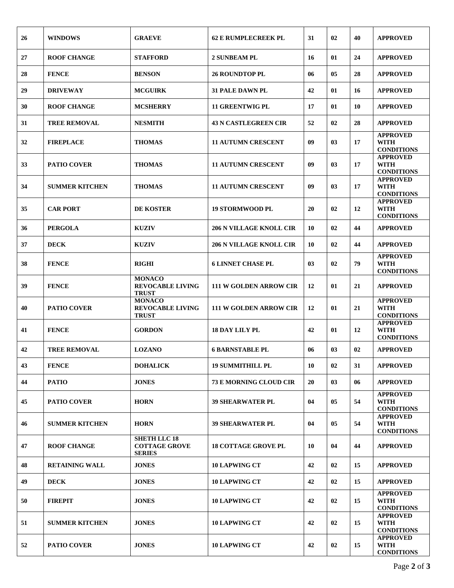| 26 | <b>WINDOWS</b>        | <b>GRAEVE</b>                                                | <b>62 E RUMPLECREEK PL</b>     | 31 | 02             | 40 | <b>APPROVED</b>                                     |
|----|-----------------------|--------------------------------------------------------------|--------------------------------|----|----------------|----|-----------------------------------------------------|
| 27 | <b>ROOF CHANGE</b>    | <b>STAFFORD</b>                                              | <b>2 SUNBEAM PL</b>            | 16 | 01             | 24 | <b>APPROVED</b>                                     |
| 28 | <b>FENCE</b>          | <b>BENSON</b>                                                | <b>26 ROUNDTOP PL</b>          | 06 | 05             | 28 | <b>APPROVED</b>                                     |
| 29 | <b>DRIVEWAY</b>       | <b>MCGUIRK</b>                                               | <b>31 PALE DAWN PL</b>         | 42 | 01             | 16 | <b>APPROVED</b>                                     |
| 30 | <b>ROOF CHANGE</b>    | <b>MCSHERRY</b>                                              | <b>11 GREENTWIG PL</b>         | 17 | 01             | 10 | <b>APPROVED</b>                                     |
| 31 | <b>TREE REMOVAL</b>   | <b>NESMITH</b>                                               | <b>43 N CASTLEGREEN CIR</b>    | 52 | 02             | 28 | <b>APPROVED</b>                                     |
| 32 | <b>FIREPLACE</b>      | <b>THOMAS</b>                                                | <b>11 AUTUMN CRESCENT</b>      | 09 | 03             | 17 | <b>APPROVED</b><br><b>WITH</b><br><b>CONDITIONS</b> |
| 33 | <b>PATIO COVER</b>    | <b>THOMAS</b>                                                | <b>11 AUTUMN CRESCENT</b>      | 09 | 03             | 17 | <b>APPROVED</b><br><b>WITH</b><br><b>CONDITIONS</b> |
| 34 | <b>SUMMER KITCHEN</b> | <b>THOMAS</b>                                                | <b>11 AUTUMN CRESCENT</b>      | 09 | 03             | 17 | <b>APPROVED</b><br><b>WITH</b><br><b>CONDITIONS</b> |
| 35 | <b>CAR PORT</b>       | <b>DE KOSTER</b>                                             | <b>19 STORMWOOD PL</b>         | 20 | 02             | 12 | <b>APPROVED</b><br><b>WITH</b><br><b>CONDITIONS</b> |
| 36 | <b>PERGOLA</b>        | <b>KUZIV</b>                                                 | <b>206 N VILLAGE KNOLL CIR</b> | 10 | 02             | 44 | <b>APPROVED</b>                                     |
| 37 | <b>DECK</b>           | <b>KUZIV</b>                                                 | <b>206 N VILLAGE KNOLL CIR</b> | 10 | 02             | 44 | <b>APPROVED</b>                                     |
| 38 | <b>FENCE</b>          | <b>RIGHI</b>                                                 | <b>6 LINNET CHASE PL</b>       | 03 | 02             | 79 | <b>APPROVED</b><br><b>WITH</b><br><b>CONDITIONS</b> |
| 39 | <b>FENCE</b>          | <b>MONACO</b><br><b>REVOCABLE LIVING</b><br><b>TRUST</b>     | <b>111 W GOLDEN ARROW CIR</b>  | 12 | 01             | 21 | <b>APPROVED</b>                                     |
| 40 | <b>PATIO COVER</b>    | <b>MONACO</b><br><b>REVOCABLE LIVING</b><br><b>TRUST</b>     | <b>111 W GOLDEN ARROW CIR</b>  | 12 | 01             | 21 | <b>APPROVED</b><br><b>WITH</b><br><b>CONDITIONS</b> |
| 41 | <b>FENCE</b>          | <b>GORDON</b>                                                | <b>18 DAY LILY PL</b>          | 42 | 01             | 12 | <b>APPROVED</b><br><b>WITH</b><br><b>CONDITIONS</b> |
| 42 | <b>TREE REMOVAL</b>   | <b>LOZANO</b>                                                | <b>6 BARNSTABLE PL</b>         | 06 | 0 <sub>3</sub> | 02 | <b>APPROVED</b>                                     |
| 43 | <b>FENCE</b>          | <b>DOHALICK</b>                                              | <b>19 SUMMITHILL PL</b>        | 10 | 02             | 31 | <b>APPROVED</b>                                     |
| 44 | <b>PATIO</b>          | <b>JONES</b>                                                 | 73 E MORNING CLOUD CIR         | 20 | 03             | 06 | <b>APPROVED</b>                                     |
| 45 | <b>PATIO COVER</b>    | <b>HORN</b>                                                  | <b>39 SHEARWATER PL</b>        | 04 | 05             | 54 | <b>APPROVED</b><br><b>WITH</b><br><b>CONDITIONS</b> |
| 46 | <b>SUMMER KITCHEN</b> | <b>HORN</b>                                                  | <b>39 SHEARWATER PL</b>        | 04 | 05             | 54 | <b>APPROVED</b><br><b>WITH</b><br><b>CONDITIONS</b> |
| 47 | <b>ROOF CHANGE</b>    | <b>SHETH LLC 18</b><br><b>COTTAGE GROVE</b><br><b>SERIES</b> | <b>18 COTTAGE GROVE PL</b>     | 10 | 04             | 44 | <b>APPROVED</b>                                     |
| 48 | <b>RETAINING WALL</b> | <b>JONES</b>                                                 | <b>10 LAPWING CT</b>           | 42 | 02             | 15 | <b>APPROVED</b>                                     |
| 49 | <b>DECK</b>           | <b>JONES</b>                                                 | <b>10 LAPWING CT</b>           | 42 | 02             | 15 | <b>APPROVED</b>                                     |
| 50 | <b>FIREPIT</b>        | <b>JONES</b>                                                 | <b>10 LAPWING CT</b>           | 42 | 02             | 15 | <b>APPROVED</b><br><b>WITH</b><br><b>CONDITIONS</b> |
| 51 | <b>SUMMER KITCHEN</b> | <b>JONES</b>                                                 | <b>10 LAPWING CT</b>           | 42 | 02             | 15 | <b>APPROVED</b><br><b>WITH</b><br><b>CONDITIONS</b> |
| 52 | <b>PATIO COVER</b>    | <b>JONES</b>                                                 | <b>10 LAPWING CT</b>           | 42 | 02             | 15 | <b>APPROVED</b><br><b>WITH</b><br><b>CONDITIONS</b> |